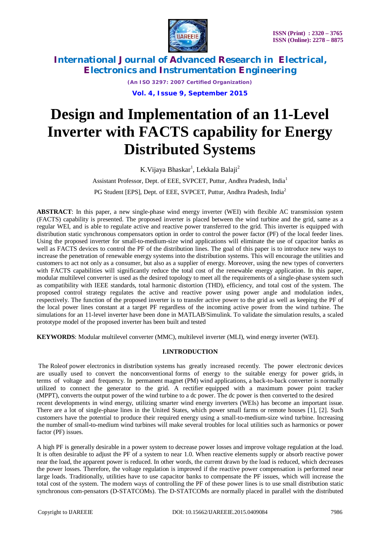

*(An ISO 3297: 2007 Certified Organization)* **Vol. 4, Issue 9, September 2015**

# **Design and Implementation of an 11-Level Inverter with FACTS capability for Energy Distributed Systems**

K. Vijaya Bhaskar<sup>1</sup>, Lekkala Balaji<sup>2</sup> Assistant Professor, Dept. of EEE, SVPCET, Puttur, Andhra Pradesh, India<sup>1</sup> PG Student [EPS], Dept. of EEE, SVPCET, Puttur, Andhra Pradesh, India<sup>2</sup>

**ABSTRACT**: In this paper, a new single-phase wind energy inverter (WEI) with flexible AC transmission system (FACTS) capability is presented. The proposed inverter is placed between the wind turbine and the grid, same as a regular WEI, and is able to regulate active and reactive power transferred to the grid. This inverter is equipped with distribution static synchronous compensators option in order to control the power factor (PF) of the local feeder lines. Using the proposed inverter for small-to-medium-size wind applications will eliminate the use of capacitor banks as well as FACTS devices to control the PF of the distribution lines. The goal of this paper is to introduce new ways to increase the penetration of renewable energy systems into the distribution systems. This will encourage the utilities and customers to act not only as a consumer, but also as a supplier of energy. Moreover, using the new types of converters with FACTS capabilities will significantly reduce the total cost of the renewable energy application. In this paper, modular multilevel converter is used as the desired topology to meet all the requirements of a single-phase system such as compatibility with IEEE standards, total harmonic distortion (THD), efficiency, and total cost of the system. The proposed control strategy regulates the active and reactive power using power angle and modulation index, respectively. The function of the proposed inverter is to transfer active power to the grid as well as keeping the PF of the local power lines constant at a target PF regardless of the incoming active power from the wind turbine. The simulations for an 11-level inverter have been done in MATLAB/Simulink. To validate the simulation results, a scaled prototype model of the proposed inverter has been built and tested

**KEYWORDS**: Modular multilevel converter (MMC), multilevel inverter (MLI), wind energy inverter (WEI).

#### **I.INTRODUCTION**

The Roleof power electronics in distribution systems has greatly increased recently. The power electronic devices are usually used to convert the nonconventional forms of energy to the suitable energy for power grids, in terms of voltage and frequency. In permanent magnet (PM) wind applications, a back-to-back converter is normally utilized to connect the generator to the grid. A rectifier equipped with a maximum power point tracker (MPPT), converts the output power of the wind turbine to a dc power. The dc power is then converted to the desired recent developments in wind energy, utilizing smarter wind energy inverters (WEIs) has become an important issue. There are a lot of single-phase lines in the United States, which power small farms or remote houses [1], [2]. Such customers have the potential to produce their required energy using a small-to-medium-size wind turbine. Increasing the number of small-to-medium wind turbines will make several troubles for local utilities such as harmonics or power factor (PF) issues.

A high PF is generally desirable in a power system to decrease power losses and improve voltage regulation at the load. It is often desirable to adjust the PF of a system to near 1.0. When reactive elements supply or absorb reactive power near the load, the apparent power is reduced. In other words, the current drawn by the load is reduced, which decreases the power losses. Therefore, the voltage regulation is improved if the reactive power compensation is performed near large loads. Traditionally, utilities have to use capacitor banks to compensate the PF issues, which will increase the total cost of the system. The modern ways of controlling the PF of these power lines is to use small distribution static synchronous com-pensators (D-STATCOMs). The D-STATCOMs are normally placed in parallel with the distributed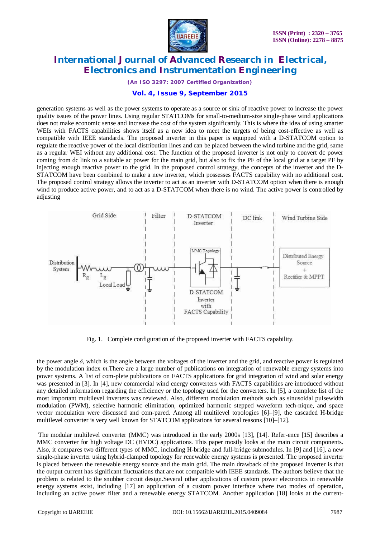

*(An ISO 3297: 2007 Certified Organization)*

#### **Vol. 4, Issue 9, September 2015**

generation systems as well as the power systems to operate as a source or sink of reactive power to increase the power quality issues of the power lines. Using regular STATCOMs for small-to-medium-size single-phase wind applications does not make economic sense and increase the cost of the system significantly. This is where the idea of using smarter WEIs with FACTS capabilities shows itself as a new idea to meet the targets of being cost-effective as well as compatible with IEEE standards. The proposed inverter in this paper is equipped with a D-STATCOM option to regulate the reactive power of the local distribution lines and can be placed between the wind turbine and the grid, same as a regular WEI without any additional cost. The function of the proposed inverter is not only to convert dc power coming from dc link to a suitable ac power for the main grid, but also to fix the PF of the local grid at a target PF by injecting enough reactive power to the grid. In the proposed control strategy, the concepts of the inverter and the D-STATCOM have been combined to make a new inverter, which possesses FACTS capability with no additional cost. The proposed control strategy allows the inverter to act as an inverter with D-STATCOM option when there is enough wind to produce active power, and to act as a D-STATCOM when there is no wind. The active power is controlled by adjusting



Fig. 1. Complete configuration of the proposed inverter with FACTS capability.

the power angle  $\delta$ , which is the angle between the voltages of the inverter and the grid, and reactive power is regulated by the modulation index *m*.There are a large number of publications on integration of renewable energy systems into power systems. A list of com-plete publications on FACTS applications for grid integration of wind and solar energy was presented in [3]. In [4], new commercial wind energy converters with FACTS capabilities are introduced without any detailed information regarding the efficiency or the topology used for the converters. In [5], a complete list of the most important multilevel inverters was reviewed. Also, different modulation methods such as sinusoidal pulsewidth modulation (PWM), selective harmonic elimination, optimized harmonic stepped waveform tech-nique, and space vector modulation were discussed and com-pared. Among all multilevel topologies [6]–[9], the cascaded H-bridge multilevel converter is very well known for STATCOM applications for several reasons [10]–[12].

The modular multilevel converter (MMC) was introduced in the early 2000s [13], [14]. Refer-ence [15] describes a MMC converter for high voltage DC (HVDC) applications. This paper mostly looks at the main circuit components. Also, it compares two different types of MMC, including H-bridge and full-bridge submodules. In [9] and [16], a new single-phase inverter using hybrid-clamped topology for renewable energy systems is presented. The proposed inverter is placed between the renewable energy source and the main grid. The main drawback of the proposed inverter is that the output current has significant fluctuations that are not compatible with IEEE standards. The authors believe that the problem is related to the snubber circuit design.Several other applications of custom power electronics in renewable energy systems exist, including [17] an application of a custom power interface where two modes of operation, including an active power filter and a renewable energy STATCOM. Another application [18] looks at the current-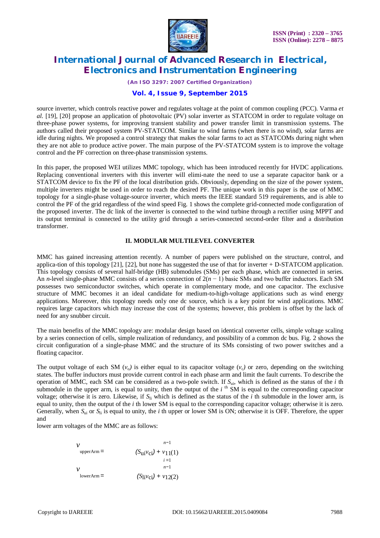

*(An ISO 3297: 2007 Certified Organization)*

#### **Vol. 4, Issue 9, September 2015**

source inverter, which controls reactive power and regulates voltage at the point of common coupling (PCC). Varma *et al.* [19], [20] propose an application of photovoltaic (PV) solar inverter as STATCOM in order to regulate voltage on three-phase power systems, for improving transient stability and power transfer limit in transmission systems. The authors called their proposed system PV-STATCOM. Similar to wind farms (when there is no wind), solar farms are idle during nights. We proposed a control strategy that makes the solar farms to act as STATCOMs during night when they are not able to produce active power. The main purpose of the PV-STATCOM system is to improve the voltage control and the PF correction on three-phase transmission systems.

In this paper, the proposed WEI utilizes MMC topology, which has been introduced recently for HVDC applications. Replacing conventional inverters with this inverter will elimi-nate the need to use a separate capacitor bank or a STATCOM device to fix the PF of the local distribution grids. Obviously, depending on the size of the power system, multiple inverters might be used in order to reach the desired PF. The unique work in this paper is the use of MMC topology for a single-phase voltage-source inverter, which meets the IEEE standard 519 requirements, and is able to control the PF of the grid regardless of the wind speed Fig. 1 shows the complete grid-connected mode configuration of the proposed inverter. The dc link of the inverter is connected to the wind turbine through a rectifier using MPPT and its output terminal is connected to the utility grid through a series-connected second-order filter and a distribution transformer.

#### **II. MODULAR MULTILEVEL CONVERTER**

MMC has gained increasing attention recently. A number of papers were published on the structure, control, and applica-tion of this topology  $[21]$ ,  $[22]$ , but none has suggested the use of that for inverter + D-STATCOM application. This topology consists of several half-bridge (HB) submodules (SMs) per each phase, which are connected in series. An *n*-level single-phase MMC consists of a series connection of 2(*n* − 1) basic SMs and two buffer inductors. Each SM possesses two semiconductor switches, which operate in complementary mode, and one capacitor. The exclusive structure of MMC becomes it an ideal candidate for medium-to-high-voltage applications such as wind energy applications. Moreover, this topology needs only one dc source, which is a key point for wind applications. MMC requires large capacitors which may increase the cost of the systems; however, this problem is offset by the lack of need for any snubber circuit.

The main benefits of the MMC topology are: modular design based on identical converter cells, simple voltage scaling by a series connection of cells, simple realization of redundancy, and possibility of a common dc bus. Fig. 2 shows the circuit configuration of a single-phase MMC and the structure of its SMs consisting of two power switches and a floating capacitor.

The output voltage of each SM  $(v_0)$  is either equal to its capacitor voltage  $(v_c)$  or zero, depending on the switching states. The buffer inductors must provide current control in each phase arm and limit the fault currents. To describe the operation of MMC, each SM can be considered as a two-pole switch. If *S*ui, which is defined as the status of the *i* th submodule in the upper arm, is equal to unity, then the output of the  $i$ <sup>th</sup> SM is equal to the corresponding capacitor voltage; otherwise it is zero. Likewise, if  $S<sub>li</sub>$  which is defined as the status of the *i* th submodule in the lower arm, is equal to unity, then the output of the *i* th lower SM is equal to the corresponding capacitor voltage; otherwise it is zero. Generally, when  $S_{ui}$  or  $S_{li}$  is equal to unity, the *i* th upper or lower SM is ON; otherwise it is OFF. Therefore, the upper and

lower arm voltages of the MMC are as follows:

| ν             | $n-1$                                |
|---------------|--------------------------------------|
| $upperArm =$  | $(S_{\rm ui}v_{\rm ci}) + v_{11}(1)$ |
|               | $i=1$                                |
| $\mathcal{V}$ | $n-1$                                |
| $lowerArm =$  | $(S_{\rm li}v_{\rm ci}) + v_{12(2)}$ |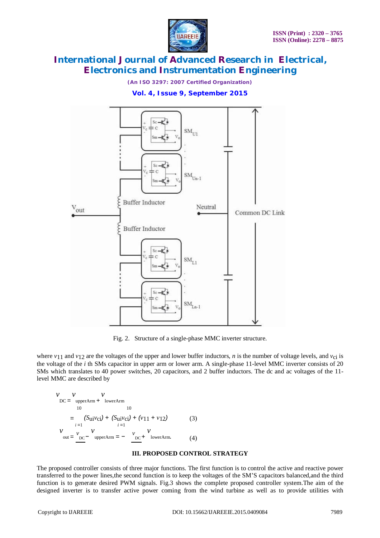

*(An ISO 3297: 2007 Certified Organization)*





Fig. 2. Structure of a single-phase MMC inverter structure.

where  $v_{11}$  and  $v_{12}$  are the voltages of the upper and lower buffer inductors, *n* is the number of voltage levels, and  $v_{ci}$  is the voltage of the *i* th SMs capacitor in upper arm or lower arm. A single-phase 11-level MMC inverter consists of 20 SMs which translates to 40 power switches, 20 capacitors, and 2 buffer inductors. The dc and ac voltages of the 11 level MMC are described by

$$
V V V V
$$
  
DC = upperArm + lowerArm  
10 10  
= (S<sub>ui</sub>v<sub>ci</sub>) + (S<sub>ui</sub>v<sub>ci</sub>) + (v<sub>11</sub> + v<sub>12</sub>) (3)  

$$
V = V V
$$
  
out = 
$$
V = V V
$$
  
upperArm = - 
$$
V = V V
$$
  
10<sub>0</sub> + 
$$
V = V
$$
  
10<sub>0</sub> + 10<sub>0</sub> + 10<sub>0</sub> + 10<sub>0</sub> + 10<sub>0</sub> + 10<sub>0</sub> + 10<sub>0</sub> + 10<sub>0</sub> + 10<sub>0</sub> + 10<sub>0</sub> + 10<sub>0</sub> + 10<sub>0</sub> + 10<sub>0</sub> + 10<sub>0</sub> + 10<sub>0</sub> + 10<sub>0</sub> + 10<sub>0</sub> + 10<sub>0</sub> + 10<sub>0</sub> + 10<sub>0</sub> + 10<sub>0</sub> + 10<sub>0</sub> + 10<sub>0</sub> + 10<sub>0</sub> + 10<sub>0</sub> + 10<sub>0</sub> + 10<sub>0</sub> + 10<sub>0</sub> + 10<sub>0</sub> + 10<sub>0</sub> + 10<sub>0</sub> + 10<sub>0</sub> + 10<sub>0</sub> + 10<sub>0</sub> + 10<sub>0</sub> + 10<sub>0</sub> + 10<sub>0</sub> + 10<sub>0</sub> + 10<sub>0</sub> + 10<sub>0</sub> + 10<sub>0</sub> + 10<sub>0</sub> + 10<sub>0</sub> + 10<sub>0</sub> + 10<sub>0</sub> + 10<sub>0</sub> + 10<sub>0</sub> + 10<sub>0</sub> + 10<sub>0</sub> + 10<sub>0</sub> + 10<sub>0</sub> + 10<sub>0</sub> + 10<sub>0</sub> + 10<sub>0</sub> + 10<sub>0</sub>

#### **III. PROPOSED CONTROL STRATEGY**

The proposed controller consists of three major functions. The first function is to control the active and reactive power transferred to the power lines,the second function is to keep the voltages of the SM'S capacitors balanced,and the third function is to generate desired PWM signals. Fig.3 shows the complete proposed controller system.The aim of the designed inverter is to transfer active power coming from the wind turbine as well as to provide utilities with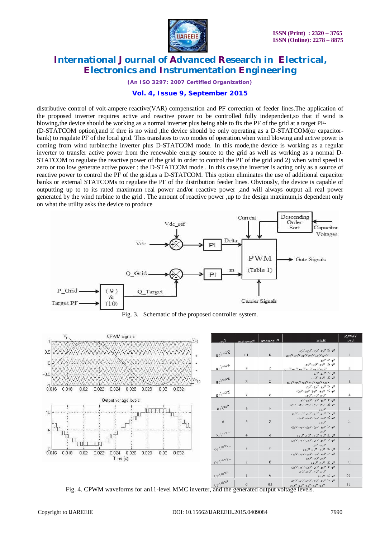

*(An ISO 3297: 2007 Certified Organization)*

#### **Vol. 4, Issue 9, September 2015**

distributive control of volt-ampere reactive(VAR) compensation and PF correction of feeder lines.The application of the proposed inverter requires active and reactive power to be controlled fully independent,so that if wind is blowing,the device should be working as a normal inverter plus being able to fix the PF of the grid at a target PF- (D-STATCOM option),and if thre is no wind ,the device should be only operating as a D-STATCOM(or capacitorbank) to regulate PF of the local grid. This translates to two modes of operation.when wind blowing and active power is coming from wind turbine:the inverter plus D-STATCOM mode. In this mode,the device is working as a regular inverter to transfer active power from the renewable energy source to the grid as well as working as a normal D-STATCOM to regulate the reactive power of the grid in order to control the PF of the grid and 2) when wind speed is zero or too low generate active power : the D-STATCOM mode . In this case,the inverter is acting only as a source of reactive power to control the PF of the grid,as a D-STATCOM. This option eliminates the use of additional capacitor banks or external STATCOMs to regulate the PF of the distribution feeder lines. Obviously, the device is capable of outputting up to to its rated maximum real power and/or reactive power ,and will always output all real power generated by the wind turbine to the grid . The amount of reactive power ,up to the design maximum,is dependent only on what the utility asks the device to produce





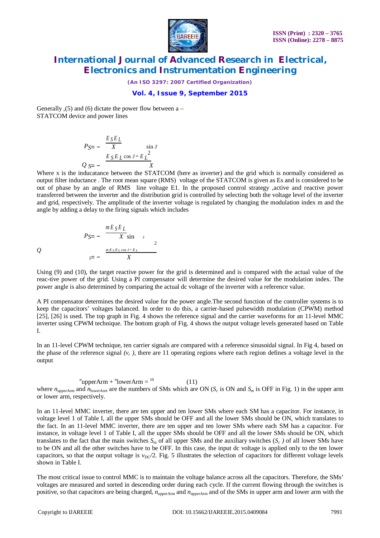

*(An ISO 3297: 2007 Certified Organization)*

#### **Vol. 4, Issue 9, September 2015**

Generally  $(5)$  and  $(6)$  dictate the power flow between a – STATCOM device and power lines

$$
P_{S} = -\frac{E_{S}E_{L}}{X} \sin \delta
$$
  

$$
Q_{S} = -\frac{E_{S}E_{L}\cos \delta - E_{L}^{2}}{X}
$$

Where x is the inducatance between the STATCOM (here as inverter) and the grid which is normally considered as output filter inductance . The root mean square (RMS) voltage of the STATCOM is given as Es and is considered to be out of phase by an angle of RMS line voltage E1. In the proposed control strategy ,active and reactive power transferred between the inverter and the distribution grid is controlled by selecting both the voltage level of the inverter and grid, respectively. The amplitude of the inverter voltage is regulated by changing the modulation index m and the angle by adding a delay to the firing signals which includes

$$
P_{S} = -\frac{mE_{S}E_{L}}{X} \sin \theta
$$
  

$$
Q = -\frac{mE_{S}E_{L}\cos \theta - E_{L}}{X}
$$

Using (9) and (10), the target reactive power for the grid is determined and is compared with the actual value of the reac-tive power of the grid. Using a PI compensator will determine the desired value for the modulation index. The power angle is also determined by comparing the actual dc voltage of the inverter with a reference value.

 $\mathfrak{D}$ 

A PI compensator determines the desired value for the power angle.The second function of the controller systems is to keep the capacitors' voltages balanced. In order to do this, a carrier-based pulsewidth modulation (CPWM) method [25], [26] is used. The top graph in Fig. 4 shows the reference signal and the carrier waveforms for an 11-level MMC inverter using CPWM technique. The bottom graph of Fig. 4 shows the output voltage levels generated based on Table I.

In an 11-level CPWM technique, ten carrier signals are compared with a reference sinusoidal signal. In Fig 4, based on the phase of the reference signal  $(v_r)$ , there are 11 operating regions where each region defines a voltage level in the output

#### $n_{\text{upperArm +}}^{n}$  +  $n_{\text{lowerArm =}}^{n}$  (11)

where  $n_{\text{upperArm}}$  and  $n_{\text{lowerArm}}$  are the numbers of SMs which are ON ( $S_c$  is ON and  $S_m$  is OFF in Fig. 1) in the upper arm or lower arm, respectively.

In an 11-level MMC inverter, there are ten upper and ten lower SMs where each SM has a capacitor. For instance, in voltage level 1 of Table I, all the upper SMs should be OFF and all the lower SMs should be ON, which translates to the fact. In an 11-level MMC inverter, there are ten upper and ten lower SMs where each SM has a capacitor. For instance, in voltage level 1 of Table I, all the upper SMs should be OFF and all the lower SMs should be ON, which translates to the fact that the main switches  $S_m$  of all upper SMs and the auxiliary switches  $(S_c)$  of all lower SMs have to be ON and all the other switches have to be OFF. In this case, the input dc voltage is applied only to the ten lower capacitors, so that the output voltage is  $v_{\text{DC}}/2$ . Fig. 5 illustrates the selection of capacitors for different voltage levels shown in Table I.

The most critical issue to control MMC is to maintain the voltage balance across all the capacitors. Therefore, the SMs' voltages are measured and sorted in descending order during each cycle. If the current flowing through the switches is positive, so that capacitors are being charged,  $n_{\text{upperArm}}$  and  $n_{\text{upperArm}}$  and of the SMs in upper arm and lower arm with the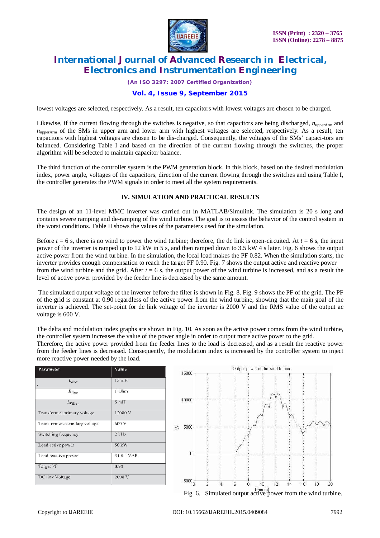

*(An ISO 3297: 2007 Certified Organization)*

### **Vol. 4, Issue 9, September 2015**

lowest voltages are selected, respectively. As a result, ten capacitors with lowest voltages are chosen to be charged.

Likewise, if the current flowing through the switches is negative, so that capacitors are being discharged,  $n_{\text{upperArm}}$  and  $n_{\text{unperarm}}$  of the SMs in upper arm and lower arm with highest voltages are selected, respectively. As a result, ten capacitors with highest voltages are chosen to be dis-charged. Consequently, the voltages of the SMs' capaci-tors are balanced. Considering Table I and based on the direction of the current flowing through the switches, the proper algorithm will be selected to maintain capacitor balance.

The third function of the controller system is the PWM generation block. In this block, based on the desired modulation index, power angle, voltages of the capacitors, direction of the current flowing through the switches and using Table I, the controller generates the PWM signals in order to meet all the system requirements.

#### **IV. SIMULATION AND PRACTICAL RESULTS**

The design of an 11-level MMC inverter was carried out in MATLAB/Simulink. The simulation is 20 s long and contains severe ramping and de-ramping of the wind turbine. The goal is to assess the behavior of the control system in the worst conditions. Table II shows the values of the parameters used for the simulation.

Before  $t = 6$  s, there is no wind to power the wind turbine; therefore, the dc link is open-circuited. At  $t = 6$  s, the input power of the inverter is ramped up to 12 kW in 5 s, and then ramped down to 3.5 kW 4 s later. Fig. 6 shows the output active power from the wind turbine. In the simulation, the local load makes the PF 0.82. When the simulation starts, the inverter provides enough compensation to reach the target PF 0.90. Fig. 7 shows the output active and reactive power from the wind turbine and the grid. After *t* = 6 s, the output power of the wind turbine is increased, and as a result the level of active power provided by the feeder line is decreased by the same amount.

The simulated output voltage of the inverter before the filter is shown in Fig. 8. Fig. 9 shows the PF of the grid. The PF of the grid is constant at 0.90 regardless of the active power from the wind turbine, showing that the main goal of the inverter is achieved. The set-point for dc link voltage of the inverter is 2000 V and the RMS value of the output ac voltage is 600 V.

The delta and modulation index graphs are shown in Fig. 10. As soon as the active power comes from the wind turbine, the controller system increases the value of the power angle in order to output more active power to the grid.

Therefore, the active power provided from the feeder lines to the load is decreased, and as a result the reactive power from the feeder lines is decreased. Consequently, the modulation index is increased by the controller system to inject more reactive power needed by the load.

| Parameter                     | Value     |
|-------------------------------|-----------|
| $L_{line}$                    | 15mH      |
| $R_{line}$                    | $1$ Ohm   |
| $L_{\text{Filter}}$           | 5mH       |
| Transformer primary voltage   | 12000 V   |
| Transformer secondary voltage | 600 V     |
| Switching frequency           | $2$ kHz   |
| Load active power             | 50 kW     |
| Load reactive power           | 34.8 kVAR |
| Target PF                     | 0.90      |
| DC link Voltage               | 2000 V    |

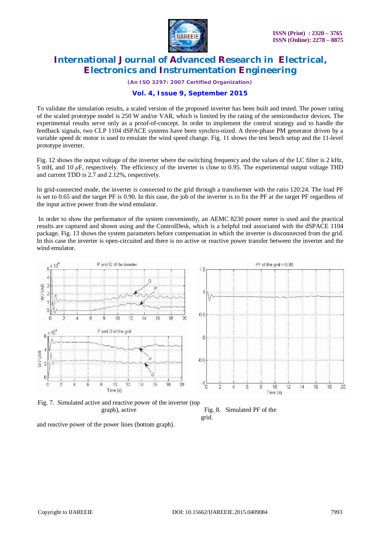

*(An ISO 3297: 2007 Certified Organization)*

#### **Vol. 4, Issue 9, September 2015**

To validate the simulation results, a scaled version of the proposed inverter has been built and tested. The power rating of the scaled prototype model is 250 W and/or VAR, which is limited by the rating of the semiconductor devices. The experimental results serve only as a proof-of-concept. In order to implement the control strategy and to handle the feedback signals, two CLP 1104 dSPACE systems have been synchro-nized. A three-phase PM generator driven by a variable speed dc motor is used to emulate the wind speed change. Fig. 11 shows the test bench setup and the 11-level prototype inverter.

Fig. 12 shows the output voltage of the inverter where the switching frequency and the values of the LC filter is 2 kHz, 5 mH, and 10 *μ*F, respectively. The efficiency of the inverter is close to 0.95. The experimental output voltage THD and current TDD is 2.7 and 2.12%, respectively.

In grid-connected mode, the inverter is connected to the grid through a transformer with the ratio 120:24. The load PF is set to 0.65 and the target PF is 0.90. In this case, the job of the inverter is to fix the PF at the target PF regardless of the input active power from the wind emulator.

In order to show the performance of the system conveniently, an AEMC 8230 power meter is used and the practical results are captured and shown using and the ControlDesk, which is a helpful tool associated with the dSPACE 1104 package. Fig. 13 shows the system parameters before compensation in which the inverter is disconnected from the grid. In this case the inverter is open-circuited and there is no active or reactive power transfer between the inverter and the wind emulator.





grid.

and reactive power of the power lines (bottom graph).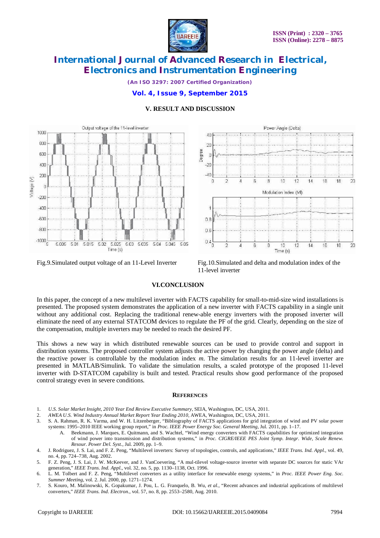

*(An ISO 3297: 2007 Certified Organization)*

#### **Vol. 4, Issue 9, September 2015**

#### **V. RESULT AND DISCUSSION**





Fig.9.Simulated output voltage of an 11-Level Inverter Fig.10.Simulated and delta and modulation index of the 11-level inverter

#### **VI.CONCLUSION**

In this paper, the concept of a new multilevel inverter with FACTS capability for small-to-mid-size wind installations is presented. The proposed system demonstrates the application of a new inverter with FACTS capability in a single unit without any additional cost. Replacing the traditional renew-able energy inverters with the proposed inverter will eliminate the need of any external STATCOM devices to regulate the PF of the grid. Clearly, depending on the size of the compensation, multiple inverters may be needed to reach the desired PF.

This shows a new way in which distributed renewable sources can be used to provide control and support in distribution systems. The proposed controller system adjusts the active power by changing the power angle (delta) and the reactive power is controllable by the modulation index *m*. The simulation results for an 11-level inverter are presented in MATLAB/Simulink. To validate the simulation results, a scaled prototype of the proposed 11-level inverter with D-STATCOM capability is built and tested. Practical results show good performance of the proposed control strategy even in severe conditions.

#### **REFERENCES**

- 1. *U.S. Solar Market Insight, 2010 Year End Review Executive Summary*, SEIA, Washington, DC, USA, 2011.
- 2. *AWEA U.S. Wind Industry Annual Market Report Year Ending 2010*, AWEA, Washington, DC, USA, 2011.
- 3. S. A. Rahman, R. K. Varma, and W. H. Litzenberger, "Bibliography of FACTS applications for grid integration of wind and PV solar power systems: 1995–2010 IEEE working group report," in *Proc. IEEE Power Energy Soc. General Meeting*, Jul. 2011, pp. 1–17.
	- A. Beekmann, J. Marques, E. Quitmann, and S. Wachtel, "Wind energy converters with FACTS capabilities for optimized integration of wind power into transmission and distribution systems," in *Proc. CIGRE/IEEE PES Joint Symp. Integr. Wide, Scale Renew. Resour. Power Del. Syst.*, Jul. 2009, pp. 1–9.
- 4. J. Rodriguez, J. S. Lai, and F. Z. Peng, "Multilevel inverters: Survey of topologies, controls, and applications," *IEEE Trans. Ind. Appl.*, vol. 49, no. 4, pp. 724–738, Aug. 2002.
- 5. F. Z. Peng, J. S. Lai, J. W. McKeever, and J. VanCoevering, "A mul-tilevel voltage-source inverter with separate DC sources for static VAr generation," *IEEE Trans. Ind. Appl.*, vol. 32, no. 5, pp. 1130–1138, Oct. 1996.
- 6. L. M. Tolbert and F. Z. Peng, "Multilevel converters as a utility interface for renewable energy systems," in *Proc. IEEE Power Eng. Soc. Summer Meeting*, vol. 2. Jul. 2000, pp. 1271–1274.
- 7. S. Kouro, M. Malinowski, K. Gopakumar, J. Pou, L. G. Franquelo, B. Wu, *et al.*, "Recent advances and industrial applications of multilevel converters," *IEEE Trans. Ind. Electron.*, vol. 57, no. 8, pp. 2553–2580, Aug. 2010.